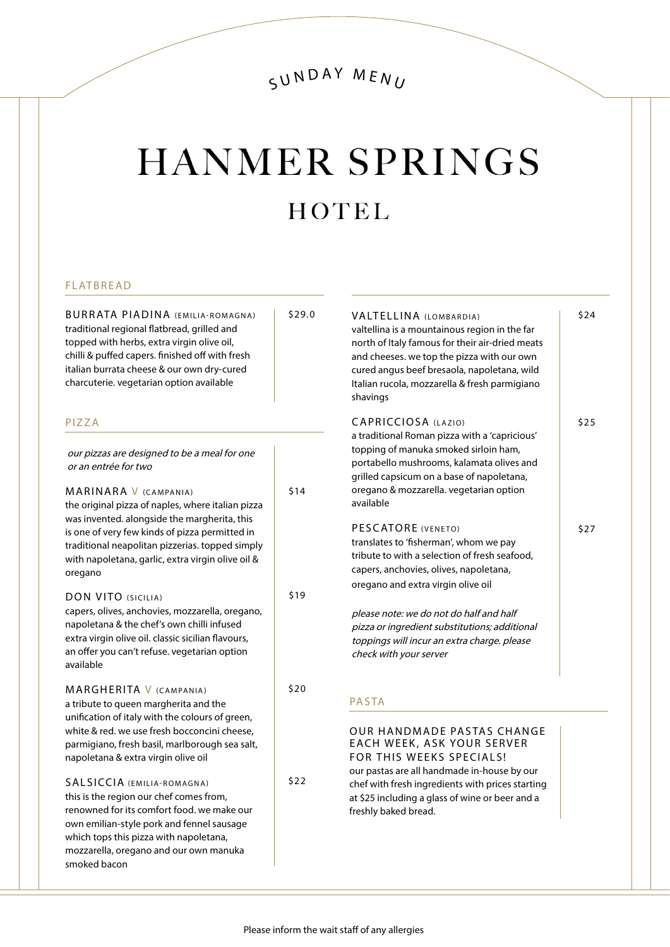### SUNDAY MENU

# **HANMER SPRINGS** HOTEL

\$29.0

\$14

\$19

\$20

\$22

#### FLATBREAD

BURRATA PIADINA (EMILIA-ROMAGNA) traditional regional flatbread, grilled and topped with herbs, extra virgin olive oil, chilli & puffed capers. finished off with fresh italian burrata cheese & our own dry-cured charcuterie. vegetarian option available

#### PIZZA

our pizzas are designed to be a meal for one or an entrée for two

MARINARA V (CAMPANIA) the original pizza of naples, where italian pizza was invented. alongside the margherita, this is one of very few kinds of pizza permitted in traditional neapolitan pizzerias. topped simply with napoletana, garlic, extra virgin olive oil & oregano

DON VITO (SICILIA) capers, olives, anchovies, mozzarella, oregano, napoletana & the chef's own chilli infused extra virgin olive oil. classic sicilian flavours, an offer you can't refuse. vegetarian option available

MARGHERITA V (CAMPANIA) a tribute to queen margherita and the unification of italy with the colours of green, white & red. we use fresh bocconcini cheese, parmigiano, fresh basil, marlborough sea salt, napoletana & extra virgin olive oil

SALSICCIA (EMILIA-ROMAGNA) this is the region our chef comes from, renowned for its comfort food. we make our own emilian-style pork and fennel sausage which tops this pizza with napoletana, mozzarella, oregano and our own manuka smoked bacon

**VALTELLINA (LOMBARDIA)** valtellina is a mountainous region in the far north of Italy famous for their air-dried meats and cheeses. we top the pizza with our own cured angus beef bresaola, napoletana, wild Italian rucola, mozzarella & fresh parmigiano shavings CAPRICCIOSA (LAZIO) a traditional Roman pizza with a 'capricious' topping of manuka smoked sirloin ham, portabello mushrooms, kalamata olives and grilled capsicum on a base of napoletana, oregano & mozzarella. vegetarian option available PESCATORE (VENETO) translates to 'fisherman', whom we pay tribute to with a selection of fresh seafood, capers, anchovies, olives, napoletana, oregano and extra virgin olive oil please note: we do not do half and half pizza or ingredient substitutions; additional toppings will incur an extra charge. please check with your server \$24 \$25 \$27 PASTA

OUR HANDMADE PASTAS CHANGE EACH WEEK, ASK YOUR SERVER FOR THIS WEEKS SPECIALS! our pastas are all handmade in-house by our chef with fresh ingredients with prices starting at \$25 including a glass of wine or beer and a freshly baked bread.